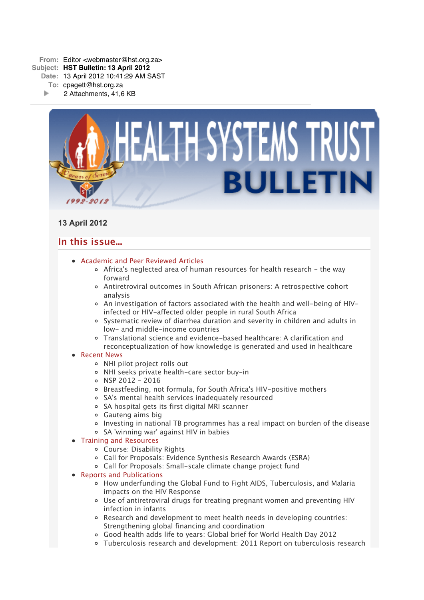

# **13 April 2012**

# **In this issue...**

- [Academic and Peer Reviewed Articles](x-msg://3/#Academic)
	- [Africa's neglected area of human resources for health research the way](x-msg://3/#A_1) forward
	- [Antiretroviral outcomes in South African prisoners: A retrospective cohort](x-msg://3/#A_2) analysis
	- [An investigation of factors associated with the health and well-being of HIV](x-msg://3/#A_3)infected or HIV-affected older people in rural South Africa
	- [Systematic review of diarrhea duration and severity in children and adults in](x-msg://3/#A_4) low- and middle-income countries
	- Translational science and evidence-based healthcare: A clarification and [reconceptualization of how knowledge is generated and used in healthcare](x-msg://3/#A_5)

## • [Recent News](x-msg://3/#recent)

- [NHI pilot project rolls out](x-msg://3/#N_1)
- [NHI seeks private health-care sector buy-in](x-msg://3/#N_2)
- $0$  NSP 2012 2016
- [Breastfeeding, not formula, for South Africa's HIV-positive mothers](x-msg://3/#N_4)
- [SA's mental health services inadequately resourced](x-msg://3/#N_5)
- SA hospital gets its first digital MRI scanner
- [Gauteng aims big](x-msg://3/#N_7)
- [Investing in national TB programmes has a real impact on burden of the disease](x-msg://3/#N_8)
- [SA 'winning war' against HIV in babies](x-msg://3/#N_9)

## • [Training and Resources](x-msg://3/#train)

- [Course: Disability Rights](x-msg://3/#T_1)
- [Call for Proposals: Evidence Synthesis Research Awards \(ESRA\)](x-msg://3/#T_2)
- [Call for Proposals: Small-scale climate change project fund](x-msg://3/#T_3)

## • [Reports and Publications](x-msg://3/#publications)

- How underfunding the Global Fund to Fight AIDS, Tuberculosis, and Malaria impacts on the HIV Response
- Use of antiretroviral drugs for treating pregnant women and preventing HIV infection in infants
- Research and development to meet health needs in developing countries: Strengthening global financing and coordination
- Good health adds life to years: Global brief for World Health Day 2012
- Tuberculosis research and development: 2011 Report on tuberculosis research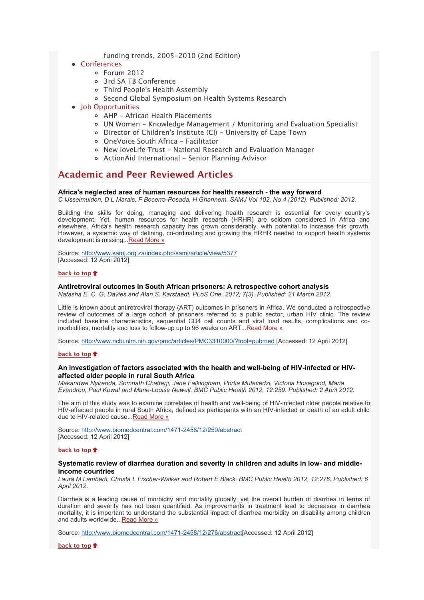- funding trends, 2005-2010 (2nd Edition)
- [Conferences](x-msg://3/#conferences)
	- [Forum 2012](x-msg://3/#C_3)
	- [3rd SA TB Conference](x-msg://3/#C_4)
	- [Third People's Health Assembly](x-msg://3/#C_5)
	- [Second Global Symposium on Health Systems Research](x-msg://3/#C_6)
- Iob Opportunities
	- [AHP African Health Placements](x-msg://3/#J_0)
	- [UN Women Knowledge Management / Monitoring and Evaluation Specialist](x-msg://3/#J_1)
	- [Director of Children's Institute \(CI\) University of Cape Town](x-msg://3/#J_2)
		- [OneVoice South Africa Facilitator](x-msg://3/#J_3)
		- [New loveLife Trust National Research and Evaluation Manager](x-msg://3/#J_4)
	- o [ActionAid International Senior Planning Advisor](x-msg://3/#J_5)

# **Academic and Peer Reviewed Articles**

### **Africa's neglected area of human resources for health research - the way forward**

*C IJsselmuiden, D L Marais, F Becerra-Posada, H Ghannem. SAMJ Vol 102, No 4 (2012). Published: 2012.*

Building the skills for doing, managing and delivering health research is essential for every country's development. Yet, human resources for health research (HRHR) are seldom considered in Africa and elsewhere. Africa's health research capacity has grown considerably, with potential to increase this growth. However, a systemic way of defining, co-ordinating and growing the HRHR needed to support health systems development is missing..[.Read More »](http://bulletin.hst.org.za//lt.php?id=K09UDFZQUgcBSlBSBUUHC1NR)

Source: [http://www.samj.org.za/index.php/samj/article/view/5377](http://bulletin.hst.org.za//lt.php?id=K09UDFZQUgcBSlBSBUUHC1NR) [Accessed: 12 April 2012]

#### **[back to top](x-msg://3/#top)**

## **Antiretroviral outcomes in South African prisoners: A retrospective cohort analysis**

*Natasha E. C. G. Davies and Alan S. Karstaedt. PLoS One. 2012; 7(3). Published: 21 March 2012.*

Little is known about antiretroviral therapy (ART) outcomes in prisoners in Africa. We conducted a retrospective review of outcomes of a large cohort of prisoners referred to a public sector, urban HIV clinic. The review included baseline characteristics, sequential CD4 cell counts and viral load results, complications and comorbidities, mortality and loss to follow-up up to 96 weeks on ART..[.Read More »](http://bulletin.hst.org.za//lt.php?id=K09UDFZQUgcDSlBSBUUHC1NR)

Source: [http://www.ncbi.nlm.nih.gov/pmc/articles/PMC3310000/?tool=pubmed \[](http://bulletin.hst.org.za//lt.php?id=K09UDFZQUgcDSlBSBUUHC1NR)Accessed: 12 April 2012]

### **[back to top](x-msg://3/#top)**

### **An investigation of factors associated with the health and well-being of HIV-infected or HIVaffected older people in rural South Africa**

*Makandwe Nyirenda, Somnath Chatterji, Jane Falkingham, Portia Mutevedzi, Victoria Hosegood, Maria Evandrou, Paul Kowal and Marie-Louise Newell. BMC Public Health 2012, 12:259. Published: 2 April 2012.*

The aim of this study was to examine correlates of health and well-being of HIV-infected older people relative to HIV-affected people in rural South Africa, defined as participants with an HIV-infected or death of an adult child due to HIV-related cause..[.Read More »](http://bulletin.hst.org.za//lt.php?id=K09UDFZQUgcESlBSBUUHC1NR)

Source: [http://www.biomedcentral.com/1471-2458/12/259/abstract](http://bulletin.hst.org.za//lt.php?id=K09UDFZQUgcESlBSBUUHC1NR) [Accessed: 12 April 2012]

## **[back to top](x-msg://3/#top)**

### **Systematic review of diarrhea duration and severity in children and adults in low- and middleincome countries**

*Laura M Lamberti, Christa L Fischer-Walker and Robert E Black. BMC Public Health 2012, 12:276. Published: 6 April 2012.*

Diarrhea is a leading cause of morbidity and mortality globally; yet the overall burden of diarrhea in terms of duration and severity has not been quantified. As improvements in treatment lead to decreases in diarrhea mortality, it is important to understand the substantial impact of diarrhea morbidity on disability among children and adults worldwide... Read More »

Source: [http://www.biomedcentral.com/1471-2458/12/276/abstract\[](http://bulletin.hst.org.za//lt.php?id=K09UDFZQUgcCSlBSBUUHC1NR)Accessed: 12 April 2012]

**[back to top](x-msg://3/#top)**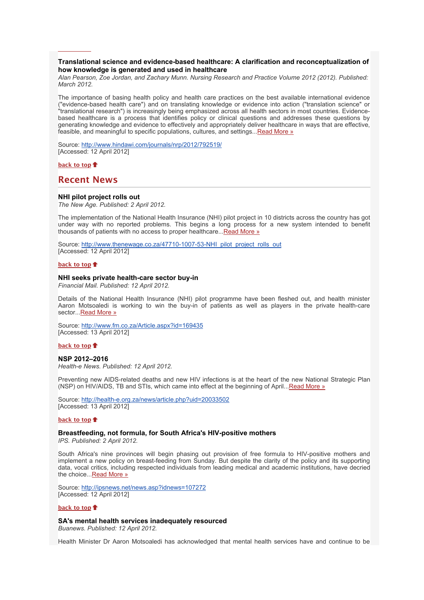## **Translational science and evidence-based healthcare: A clarification and reconceptualization of how knowledge is generated and used in healthcare**

*Alan Pearson, Zoe Jordan, and Zachary Munn. Nursing Research and Practice Volume 2012 (2012). Published: March 2012.*

The importance of basing health policy and health care practices on the best available international evidence ("evidence-based health care") and on translating knowledge or evidence into action ("translation science" or "translational research") is increasingly being emphasized across all health sectors in most countries. Evidencebased healthcare is a process that identifies policy or clinical questions and addresses these questions by generating knowledge and evidence to effectively and appropriately deliver healthcare in ways that are effective, feasible, and meaningful to specific populations, cultures, and settings..[.Read More »](http://bulletin.hst.org.za//lt.php?id=K09UDFZQUgcASlBSBUUHC1NR)

Source: [http://www.hindawi.com/journals/nrp/2012/792519/](http://bulletin.hst.org.za//lt.php?id=K09UDFZQUgcASlBSBUUHC1NR) [Accessed: 12 April 2012]

## **[back to top](x-msg://3/#top)**

**[back to top](x-msg://3/#top)**

## **Recent News**

#### **NHI pilot project rolls out**

*The New Age. Published: 2 April 2012.*

The implementation of the National Health Insurance (NHI) pilot project in 10 districts across the country has got under way with no reported problems. This begins a long process for a new system intended to benefit thousands of patients with no access to proper healthcare...[Read More »](http://bulletin.hst.org.za//lt.php?id=K09UDFZQUgcPSlBSBUUHC1NR)

Source: [http://www.thenewage.co.za/47710-1007-53-NHI\\_pilot\\_project\\_rolls\\_out](http://bulletin.hst.org.za//lt.php?id=K09UDFZQUgcOSlBSBUUHC1NR) [Accessed: 12 April 2012]

#### **[back to top](x-msg://3/#top)**

#### **NHI seeks private health-care sector buy-in**

*Financial Mail. Published: 12 April 2012.*

Details of the National Health Insurance (NHI) pilot programme have been fleshed out, and health minister Aaron Motsoaledi is working to win the buy-in of patients as well as players in the private health-care sector...[Read More »](http://bulletin.hst.org.za//lt.php?id=K09UDFZQUgQHSlBSBUUHC1NR)

Source: [http://www.fm.co.za/Article.aspx?id=169435](http://bulletin.hst.org.za//lt.php?id=K09UDFZQUgQGSlBSBUUHC1NR) [Accessed: 13 April 2012]

#### **[back to top](x-msg://3/#top)**

## **NSP 2012–2016**

*Health-e News. Published: 12 April 2012.*

Preventing new AIDS-related deaths and new HIV infections is at the heart of the new National Strategic Plan (NSP) on HIV/AIDS, TB and STIs, which came into effect at the beginning of April... [Read More »](http://bulletin.hst.org.za//lt.php?id=K09UDFZQUgQFSlBSBUUHC1NR)

Source: [http://health-e.org.za/news/article.php?uid=20033502](http://bulletin.hst.org.za//lt.php?id=K09UDFZQUgQESlBSBUUHC1NR) [Accessed: 13 April 2012]

#### **[back to top](x-msg://3/#top)**

## **Breastfeeding, not formula, for South Africa's HIV-positive mothers**

*IPS. Published: 2 April 2012.*

South Africa's nine provinces will begin phasing out provision of free formula to HIV-positive mothers and implement a new policy on breast-feeding from Sunday. But despite the clarity of the policy and its supporting data, vocal critics, including respected individuals from leading medical and academic institutions, have decried the choice..[.Read More »](http://bulletin.hst.org.za//lt.php?id=K09UDFZQUgQDSlBSBUUHC1NR)

Source: [http://ipsnews.net/news.asp?idnews=107272](http://bulletin.hst.org.za//lt.php?id=K09UDFZQUgQCSlBSBUUHC1NR) [Accessed: 12 April 2012]

#### **[back to top](x-msg://3/#top)**

**SA's mental health services inadequately resourced**

*Buanews. Published: 12 April 2012.*

Health Minister Dr Aaron Motsoaledi has acknowledged that mental health services have and continue to be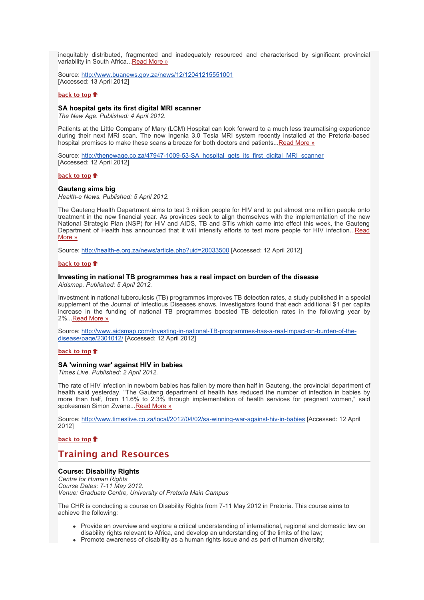inequitably distributed, fragmented and inadequately resourced and characterised by significant provincial variability in South Africa..[.Read More »](http://bulletin.hst.org.za//lt.php?id=K09UDFZQUgQBSlBSBUUHC1NR)

Source: [http://www.buanews.gov.za/news/12/12041215551001](http://bulletin.hst.org.za//lt.php?id=K09UDFZQUgQASlBSBUUHC1NR) [Accessed: 13 April 2012]

#### **[back to top](x-msg://3/#top)**

#### **SA hospital gets its first digital MRI scanner**

*The New Age. Published: 4 April 2012.*

Patients at the Little Company of Mary (LCM) Hospital can look forward to a much less traumatising experience during their next MRI scan. The new Ingenia 3.0 Tesla MRI system recently installed at the Pretoria-based hospital promises to make these scans a breeze for both doctors and patients..[.Read More »](http://bulletin.hst.org.za//lt.php?id=K09UDFZQUgQPSlBSBUUHC1NR)

Source: [http://thenewage.co.za/47947-1009-53-SA\\_hospital\\_gets\\_its\\_first\\_digital\\_MRI\\_scanner](http://bulletin.hst.org.za//lt.php?id=K09UDFZQUgQOSlBSBUUHC1NR) [Accessed: 12 April 2012]

#### **[back to top](x-msg://3/#top)**

### **Gauteng aims big**

*Health-e News. Published: 5 April 2012.*

The Gauteng Health Department aims to test 3 million people for HIV and to put almost one million people onto treatment in the new financial year. As provinces seek to align themselves with the implementation of the new National Strategic Plan (NSP) for HIV and AIDS, TB and STIs which came into effect this week, the Gauteng [Department of Health has announced that it will intensify efforts to test more people for HIV infection...Read](http://bulletin.hst.org.za//lt.php?id=K09UDFZQUgUHSlBSBUUHC1NR) More »

Source: [http://health-e.org.za/news/article.php?uid=20033500](http://bulletin.hst.org.za//lt.php?id=K09UDFZQUgMBSlBSBUUHC1NR) [Accessed: 12 April 2012]

#### **[back to top](x-msg://3/#top)**

#### **Investing in national TB programmes has a real impact on burden of the disease**

*Aidsmap. Published: 5 April 2012.*

Investment in national tuberculosis (TB) programmes improves TB detection rates, a study published in a special supplement of the Journal of Infectious Diseases shows. Investigators found that each additional \$1 per capita increase in the funding of national TB programmes boosted TB detection rates in the following year by 2%...[Read More »](http://bulletin.hst.org.za//lt.php?id=K09UDFZQUgUGSlBSBUUHC1NR)

[Source: http://www.aidsmap.com/Investing-in-national-TB-programmes-has-a-real-impact-on-burden-of-the](http://bulletin.hst.org.za//lt.php?id=K09UDFZQUgUFSlBSBUUHC1NR)disease/page/2301012/ [Accessed: 12 April 2012]

#### **[back to top](x-msg://3/#top)**

## **SA 'winning war' against HIV in babies**

*Times Live. Published: 2 April 2012.*

The rate of HIV infection in newborn babies has fallen by more than half in Gauteng, the provincial department of health said yesterday. "The Gauteng department of health has reduced the number of infection in babies by more than half, from 11.6% to 2.3% through implementation of health services for pregnant women," said spokesman Simon Zwane..[.Read More »](http://bulletin.hst.org.za//lt.php?id=K09UDFZQUgUESlBSBUUHC1NR)

Source: [http://www.timeslive.co.za/local/2012/04/02/sa-winning-war-against-hiv-in-babies](http://bulletin.hst.org.za//lt.php?id=K09UDFZQUgUDSlBSBUUHC1NR) [Accessed: 12 April 2012]

### **[back to top](x-msg://3/#top)**

# **Training and Resources**

## **Course: Disability Rights**

*Centre for Human Rights Course Dates: 7-11 May 2012. Venue: Graduate Centre, University of Pretoria Main Campus*

The CHR is conducting a course on Disability Rights from 7-11 May 2012 in Pretoria. This course aims to achieve the following:

- Provide an overview and explore a critical understanding of international, regional and domestic law on disability rights relevant to Africa, and develop an understanding of the limits of the law;
- Promote awareness of disability as a human rights issue and as part of human diversity;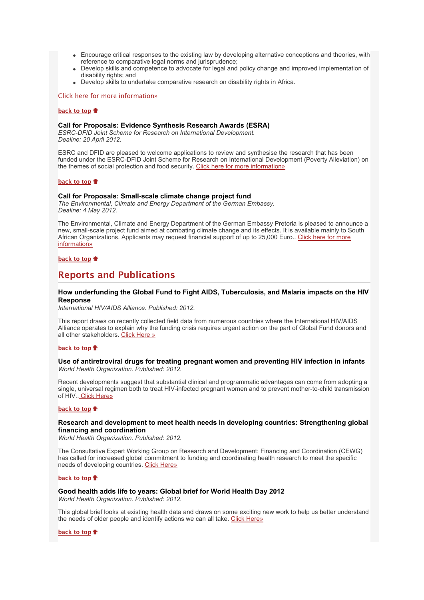- Encourage critical responses to the existing law by developing alternative conceptions and theories, with reference to comparative legal norms and jurisprudence;
- Develop skills and competence to advocate for legal and policy change and improved implementation of disability rights; and
- Develop skills to undertake comparative research on disability rights in Africa.

#### [Click here for more information»](http://bulletin.hst.org.za//lt.php?id=K09UDFZQUgUCSlBSBUUHC1NR)

#### **[back to top](x-msg://3/#top)**

#### **Call for Proposals: Evidence Synthesis Research Awards (ESRA)**

*ESRC-DFID Joint Scheme for Research on International Development. Dealine: 20 April 2012.*

ESRC and DFID are pleased to welcome applications to review and synthesise the research that has been funded under the ESRC-DFID Joint Scheme for Research on International Development (Poverty Alleviation) on the themes of social protection and food security. [Click here for more information»](http://bulletin.hst.org.za//lt.php?id=K09UDFZQUgUBSlBSBUUHC1NR)

#### **[back to top](x-msg://3/#top)**

#### **Call for Proposals: Small-scale climate change project fund**

*The Environmental, Climate and Energy Department of the German Embassy. Dealine: 4 May 2012.*

The Environmental, Climate and Energy Department of the German Embassy Pretoria is pleased to announce a new, small-scale project fund aimed at combating climate change and its effects. It is available mainly to South [African Organizations. Applicants may request financial support of up to 25,000 Euro.. Click here for more](http://bulletin.hst.org.za//lt.php?id=K09UDFZQUgUASlBSBUUHC1NR) information»

#### **[back to top](x-msg://3/#top)**

# **Reports and Publications**

## **How underfunding the Global Fund to Fight AIDS, Tuberculosis, and Malaria impacts on the HIV Response**

*International HIV/AIDS Alliance. Published: 2012.*

This report draws on recently collected field data from numerous countries where the International HIV/AIDS Alliance operates to explain why the funding crisis requires urgent action on the part of Global Fund donors and all other stakeholders. [Click Here »](http://bulletin.hst.org.za//lt.php?id=K09UDFZQUgUPSlBSBUUHC1NR)

### **[back to top](x-msg://3/#top)**

## **Use of antiretroviral drugs for treating pregnant women and preventing HIV infection in infants** *World Health Organization. Published: 2012.*

Recent developments suggest that substantial clinical and programmatic advantages can come from adopting a single, universal regimen both to treat HIV-infected pregnant women and to prevent mother-to-child transmission of HIV.. [Click Here»](http://bulletin.hst.org.za//lt.php?id=K09UDFZQUgUOSlBSBUUHC1NR)

#### **[back to top](x-msg://3/#top)**

## **Research and development to meet health needs in developing countries: Strengthening global financing and coordination**

*World Health Organization. Published: 2012.*

The Consultative Expert Working Group on Research and Development: Financing and Coordination (CEWG) has called for increased global commitment to funding and coordinating health research to meet the specific needs of developing countries. [Click Here»](http://bulletin.hst.org.za//lt.php?id=K09UDFZQUgIHSlBSBUUHC1NR)

### **[back to top](x-msg://3/#top)**

## **Good health adds life to years: Global brief for World Health Day 2012**

*World Health Organization. Published: 2012.*

This global brief looks at existing health data and draws on some exciting new work to help us better understand the needs of older people and identify actions we can all take. [Click Here»](http://bulletin.hst.org.za//lt.php?id=K09UDFZQUgIGSlBSBUUHC1NR)

#### **[back to top](x-msg://3/#top)**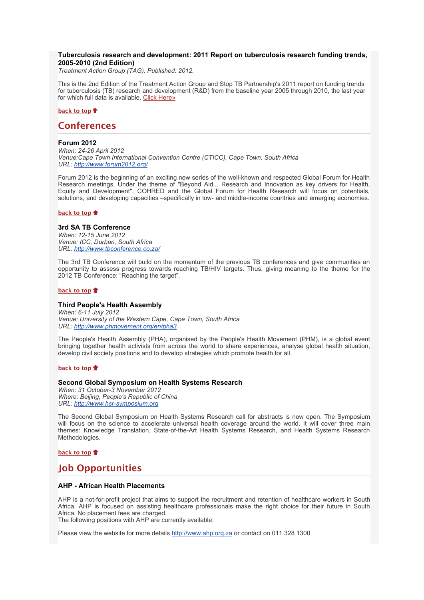## **Tuberculosis research and development: 2011 Report on tuberculosis research funding trends, 2005-2010 (2nd Edition)**

*Treatment Action Group (TAG). Published: 2012.*

This is the 2nd Edition of the Treatment Action Group and Stop TB Partnership's 2011 report on funding trends for tuberculosis (TB) research and development (R&D) from the baseline year 2005 through 2010, the last year for which full data is available. [Click Here»](http://bulletin.hst.org.za//lt.php?id=K09UDFZQUgIFSlBSBUUHC1NR)

### **[back to top](x-msg://3/#top)**

## **Conferences**

#### **Forum 2012**

*When: 24-26 April 2012 Venue:Cape Town International Convention Centre (CTICC), Cape Town, South Africa URL: [http://www.forum2012.org/](http://bulletin.hst.org.za//lt.php?id=K09UDFZQUgIESlBSBUUHC1NR)*

Forum 2012 is the beginning of an exciting new series of the well-known and respected Global Forum for Health Research meetings. Under the theme of "Beyond Aid... Research and Innovation as key drivers for Health, Equity and Development", COHRED and the Global Forum for Health Research will focus on potentials, solutions, and developing capacities –specifically in low- and middle-income countries and emerging economies.

#### **[back to top](x-msg://3/#top)**

### **3rd SA TB Conference**

*When: 12-15 June 2012 Venue: ICC, Durban, South Africa URL: [http://www.tbconference.co.za/](http://bulletin.hst.org.za//lt.php?id=K09UDFZQUgIDSlBSBUUHC1NR)*

The 3rd TB Conference will build on the momentum of the previous TB conferences and give communities an opportunity to assess progress towards reaching TB/HIV targets. Thus, giving meaning to the theme for the 2012 TB Conference: "Reaching the target".

#### **[back to top](x-msg://3/#top)**

## **Third People's Health Assembly**

*When: 6-11 July 2012 Venue: University of the Western Cape, Cape Town, South Africa URL: [http://www.phmovement.org/en/pha3](http://bulletin.hst.org.za//lt.php?id=K09UDFZQUgICSlBSBUUHC1NR)*

The People's Health Assembly (PHA), organised by the People's Health Movement (PHM), is a global event bringing together health activists from across the world to share experiences, analyse global health situation, develop civil society positions and to develop strategies which promote health for all.

#### **[back to top](x-msg://3/#top)**

#### **Second Global Symposium on Health Systems Research**

*When: 31 October-3 November 2012 Where: Beijing, People's Republic of China URL: [http://www.hsr-symposium.org](http://bulletin.hst.org.za//lt.php?id=K09UDFZQUgIBSlBSBUUHC1NR)*

The Second Global Symposium on Health Systems Research call for abstracts is now open. The Symposium will focus on the science to accelerate universal health coverage around the world. It will cover three main themes: Knowledge Translation, State-of-the-Art Health Systems Research, and Health Systems Research Methodologies.

#### **[back to top](x-msg://3/#top)**

# **Job Opportunities**

### **AHP - African Health Placements**

AHP is a not-for-profit project that aims to support the recruitment and retention of healthcare workers in South Africa. AHP is focused on assisting healthcare professionals make the right choice for their future in South Africa. No placement fees are charged.

The following positions with AHP are currently available:

Please view the website for more details [http://www.ahp.org.za](http://bulletin.hst.org.za//lt.php?id=K09UDFZQUgIASlBSBUUHC1NR) or contact on 011 328 1300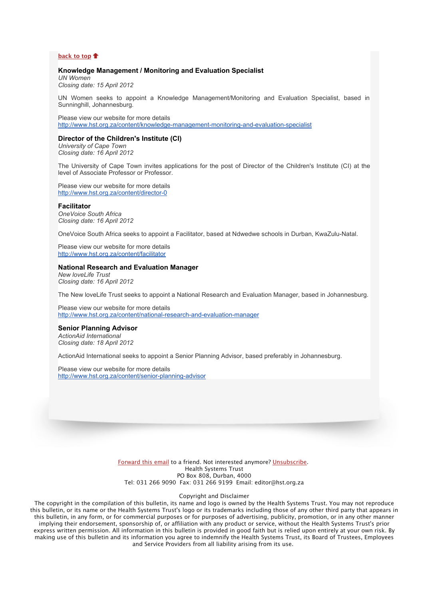#### **[back to top](x-msg://3/#top)**

### **Knowledge Management / Monitoring and Evaluation Specialist**

*UN Women Closing date: 15 April 2012*

UN Women seeks to appoint a Knowledge Management/Monitoring and Evaluation Specialist, based in Sunninghill, Johannesburg.

Please view our website for more details [http://www.hst.org.za/content/knowledge-management-monitoring-and-evaluation-specialist](http://bulletin.hst.org.za//lt.php?id=K09UDFZQUgIPSlBSBUUHC1NR)

#### **Director of the Children's Institute (CI)**

*University of Cape Town Closing date: 16 April 2012*

The University of Cape Town invites applications for the post of Director of the Children's Institute (CI) at the level of Associate Professor or Professor.

Please view our website for more details [http://www.hst.org.za/content/director-0](http://bulletin.hst.org.za//lt.php?id=K09UDFZQUgIOSlBSBUUHC1NR)

#### **Facilitator**

*OneVoice South Africa Closing date: 16 April 2012*

OneVoice South Africa seeks to appoint a Facilitator, based at Ndwedwe schools in Durban, KwaZulu-Natal.

Please view our website for more details [http://www.hst.org.za/content/facilitator](http://bulletin.hst.org.za//lt.php?id=K09UDFZQUgMHSlBSBUUHC1NR)

#### **National Research and Evaluation Manager**

*New loveLife Trust Closing date: 16 April 2012*

The New loveLife Trust seeks to appoint a National Research and Evaluation Manager, based in Johannesburg.

Please view our website for more details [http://www.hst.org.za/content/national-research-and-evaluation-manager](http://bulletin.hst.org.za//lt.php?id=K09UDFZQUgMGSlBSBUUHC1NR)

#### **Senior Planning Advisor**

*ActionAid International Closing date: 18 April 2012*

ActionAid International seeks to appoint a Senior Planning Advisor, based preferably in Johannesburg.

Please view our website for more details [http://www.hst.org.za/content/senior-planning-advisor](http://bulletin.hst.org.za//lt.php?id=K09UDFZQUgMFSlBSBUUHC1NR)

> [Forward this email](http://bulletin.hst.org.za//lt.php?id=K09UDFZQUgMESlBSBUUHC1NR) to a friend. Not interested anymore? [Unsubscribe.](http://bulletin.hst.org.za//lt.php?id=K09UDFZQUgMDSlBSBUUHC1NR) Health Systems Trust PO Box 808, Durban, 4000 Tel: 031 266 9090 Fax: 031 266 9199 Email: editor@hst.org.za

## Copyright and Disclaimer

The copyright in the compilation of this bulletin, its name and logo is owned by the Health Systems Trust. You may not reproduce this bulletin, or its name or the Health Systems Trust's logo or its trademarks including those of any other third party that appears in this bulletin, in any form, or for commercial purposes or for purposes of advertising, publicity, promotion, or in any other manner implying their endorsement, sponsorship of, or affiliation with any product or service, without the Health Systems Trust's prior express written permission. All information in this bulletin is provided in good faith but is relied upon entirely at your own risk. By making use of this bulletin and its information you agree to indemnify the Health Systems Trust, its Board of Trustees, Employees and Service Providers from all liability arising from its use.